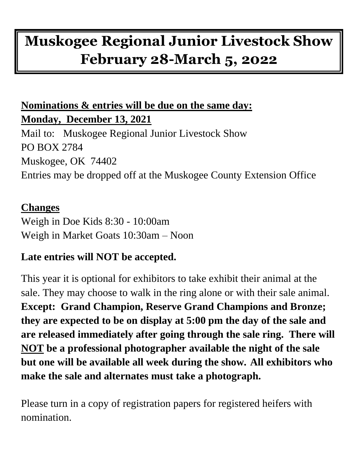# **Muskogee Regional Junior Livestock Show February 28-March 5, 2022**

# **Nominations & entries will be due on the same day: Monday, December 13, 2021**

Mail to: Muskogee Regional Junior Livestock Show PO BOX 2784 Muskogee, OK 74402 Entries may be dropped off at the Muskogee County Extension Office

## **Changes**

Weigh in Doe Kids 8:30 - 10:00am Weigh in Market Goats 10:30am – Noon

## **Late entries will NOT be accepted.**

This year it is optional for exhibitors to take exhibit their animal at the sale. They may choose to walk in the ring alone or with their sale animal. **Except: Grand Champion, Reserve Grand Champions and Bronze; they are expected to be on display at 5:00 pm the day of the sale and are released immediately after going through the sale ring. There will NOT be a professional photographer available the night of the sale but one will be available all week during the show. All exhibitors who make the sale and alternates must take a photograph.** 

Please turn in a copy of registration papers for registered heifers with nomination.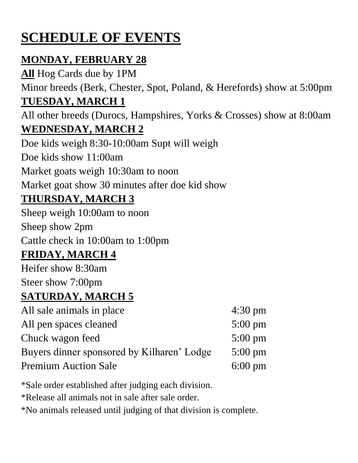# **SCHEDULE OF EVENTS**

# **MONDAY, FEBRUARY 28**

**All** Hog Cards due by 1PM Minor breeds (Berk, Chester, Spot, Poland, & Herefords) show at 5:00pm **TUESDAY, MARCH 1** All other breeds (Durocs, Hampshires, Yorks & Crosses) show at 8:00am **WEDNESDAY, MARCH 2** Doe kids weigh 8:30-10:00am Supt will weigh Doe kids show 11:00am Market goats weigh 10:30am to noon Market goat show 30 minutes after doe kid show **THURSDAY, MARCH 3** Sheep weigh 10:00am to noon Sheep show 2pm Cattle check in 10:00am to 1:00pm **FRIDAY, MARCH 4** Heifer show 8:30am Steer show 7:00pm **SATURDAY, MARCH 5** All sale animals in place 4:30 pm All pen spaces cleaned 5:00 pm Chuck wagon feed 5:00 pm Buyers dinner sponsored by Kilharen' Lodge 5:00 pm Premium Auction Sale 6:00 pm

\*Sale order established after judging each division.

\*Release all animals not in sale after sale order.

\*No animals released until judging of that division is complete.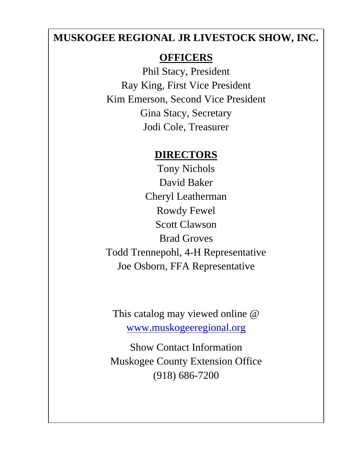#### **MUSKOGEE REGIONAL JR LIVESTOCK SHOW, INC.**

#### **OFFICERS**

Phil Stacy, President Ray King, First Vice President Kim Emerson, Second Vice President Gina Stacy, Secretary Jodi Cole, Treasurer

#### **DIRECTORS**

Tony Nichols David Baker Cheryl Leatherman Rowdy Fewel Scott Clawson Brad Groves Todd Trennepohl, 4-H Representative Joe Osborn, FFA Representative

This catalog may viewed online @ [www.muskogeeregional.org](http://www.muskogeeregional.org/)

Show Contact Information Muskogee County Extension Office (918) 686-7200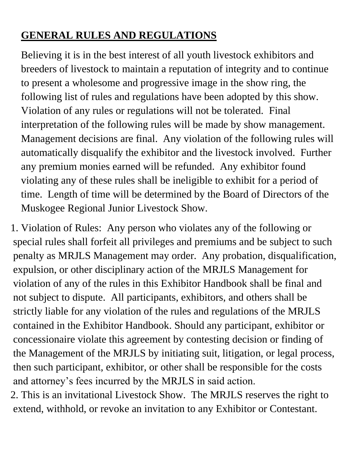# **GENERAL RULES AND REGULATIONS**

Believing it is in the best interest of all youth livestock exhibitors and breeders of livestock to maintain a reputation of integrity and to continue to present a wholesome and progressive image in the show ring, the following list of rules and regulations have been adopted by this show. Violation of any rules or regulations will not be tolerated. Final interpretation of the following rules will be made by show management. Management decisions are final. Any violation of the following rules will automatically disqualify the exhibitor and the livestock involved. Further any premium monies earned will be refunded. Any exhibitor found violating any of these rules shall be ineligible to exhibit for a period of time. Length of time will be determined by the Board of Directors of the Muskogee Regional Junior Livestock Show.

1. Violation of Rules: Any person who violates any of the following or special rules shall forfeit all privileges and premiums and be subject to such penalty as MRJLS Management may order. Any probation, disqualification, expulsion, or other disciplinary action of the MRJLS Management for violation of any of the rules in this Exhibitor Handbook shall be final and not subject to dispute. All participants, exhibitors, and others shall be strictly liable for any violation of the rules and regulations of the MRJLS contained in the Exhibitor Handbook. Should any participant, exhibitor or concessionaire violate this agreement by contesting decision or finding of the Management of the MRJLS by initiating suit, litigation, or legal process, then such participant, exhibitor, or other shall be responsible for the costs and attorney's fees incurred by the MRJLS in said action.

2. This is an invitational Livestock Show. The MRJLS reserves the right to extend, withhold, or revoke an invitation to any Exhibitor or Contestant.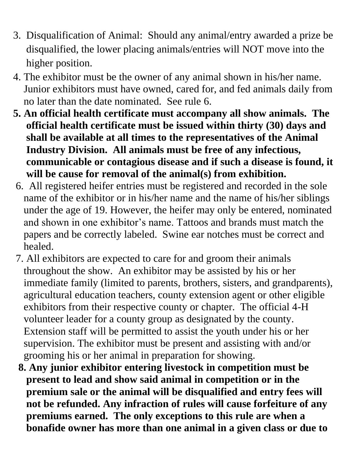- 3. Disqualification of Animal: Should any animal/entry awarded a prize be disqualified, the lower placing animals/entries will NOT move into the higher position.
- 4. The exhibitor must be the owner of any animal shown in his/her name. Junior exhibitors must have owned, cared for, and fed animals daily from no later than the date nominated. See rule 6.
- **5. An official health certificate must accompany all show animals. The official health certificate must be issued within thirty (30) days and shall be available at all times to the representatives of the Animal Industry Division. All animals must be free of any infectious, communicable or contagious disease and if such a disease is found, it will be cause for removal of the animal(s) from exhibition.**
- 6. All registered heifer entries must be registered and recorded in the sole name of the exhibitor or in his/her name and the name of his/her siblings under the age of 19. However, the heifer may only be entered, nominated and shown in one exhibitor's name. Tattoos and brands must match the papers and be correctly labeled. Swine ear notches must be correct and healed.
- 7. All exhibitors are expected to care for and groom their animals throughout the show. An exhibitor may be assisted by his or her immediate family (limited to parents, brothers, sisters, and grandparents), agricultural education teachers, county extension agent or other eligible exhibitors from their respective county or chapter. The official 4-H volunteer leader for a county group as designated by the county. Extension staff will be permitted to assist the youth under his or her supervision. The exhibitor must be present and assisting with and/or grooming his or her animal in preparation for showing.
- **8. Any junior exhibitor entering livestock in competition must be present to lead and show said animal in competition or in the premium sale or the animal will be disqualified and entry fees will not be refunded. Any infraction of rules will cause forfeiture of any premiums earned. The only exceptions to this rule are when a bonafide owner has more than one animal in a given class or due to**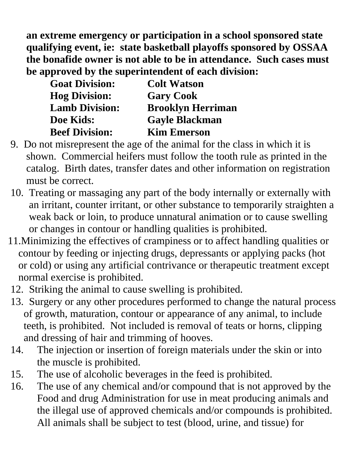**an extreme emergency or participation in a school sponsored state qualifying event, ie: state basketball playoffs sponsored by OSSAA the bonafide owner is not able to be in attendance. Such cases must be approved by the superintendent of each division:** 

| <b>Goat Division:</b> | <b>Colt Watson</b>       |
|-----------------------|--------------------------|
| <b>Hog Division:</b>  | <b>Gary Cook</b>         |
| <b>Lamb Division:</b> | <b>Brooklyn Herriman</b> |
| Doe Kids:             | <b>Gayle Blackman</b>    |
| <b>Beef Division:</b> | <b>Kim Emerson</b>       |

- 9. Do not misrepresent the age of the animal for the class in which it is shown. Commercial heifers must follow the tooth rule as printed in the catalog. Birth dates, transfer dates and other information on registration must be correct.
- 10. Treating or massaging any part of the body internally or externally with an irritant, counter irritant, or other substance to temporarily straighten a weak back or loin, to produce unnatural animation or to cause swelling or changes in contour or handling qualities is prohibited.
- 11.Minimizing the effectives of crampiness or to affect handling qualities or contour by feeding or injecting drugs, depressants or applying packs (hot or cold) or using any artificial contrivance or therapeutic treatment except normal exercise is prohibited.
- 12. Striking the animal to cause swelling is prohibited.
- 13. Surgery or any other procedures performed to change the natural process of growth, maturation, contour or appearance of any animal, to include teeth, is prohibited. Not included is removal of teats or horns, clipping and dressing of hair and trimming of hooves.
- 14. The injection or insertion of foreign materials under the skin or into the muscle is prohibited.
- 15. The use of alcoholic beverages in the feed is prohibited.
- 16. The use of any chemical and/or compound that is not approved by the Food and drug Administration for use in meat producing animals and the illegal use of approved chemicals and/or compounds is prohibited. All animals shall be subject to test (blood, urine, and tissue) for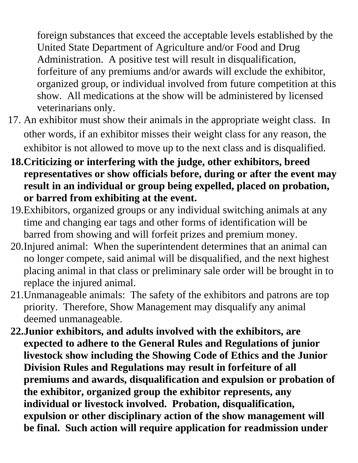foreign substances that exceed the acceptable levels established by the United State Department of Agriculture and/or Food and Drug Administration. A positive test will result in disqualification, forfeiture of any premiums and/or awards will exclude the exhibitor, organized group, or individual involved from future competition at this show. All medications at the show will be administered by licensed veterinarians only.

- 17. An exhibitor must show their animals in the appropriate weight class. In other words, if an exhibitor misses their weight class for any reason, the exhibitor is not allowed to move up to the next class and is disqualified.
- **18.Criticizing or interfering with the judge, other exhibitors, breed representatives or show officials before, during or after the event may result in an individual or group being expelled, placed on probation, or barred from exhibiting at the event.**
- 19.Exhibitors, organized groups or any individual switching animals at any time and changing ear tags and other forms of identification will be barred from showing and will forfeit prizes and premium money.
- 20.Injured animal: When the superintendent determines that an animal can no longer compete, said animal will be disqualified, and the next highest placing animal in that class or preliminary sale order will be brought in to replace the injured animal.
- 21.Unmanageable animals: The safety of the exhibitors and patrons are top priority. Therefore, Show Management may disqualify any animal deemed unmanageable.
- **22.Junior exhibitors, and adults involved with the exhibitors, are expected to adhere to the General Rules and Regulations of junior livestock show including the Showing Code of Ethics and the Junior Division Rules and Regulations may result in forfeiture of all premiums and awards, disqualification and expulsion or probation of the exhibitor, organized group the exhibitor represents, any individual or livestock involved. Probation, disqualification, expulsion or other disciplinary action of the show management will be final. Such action will require application for readmission under**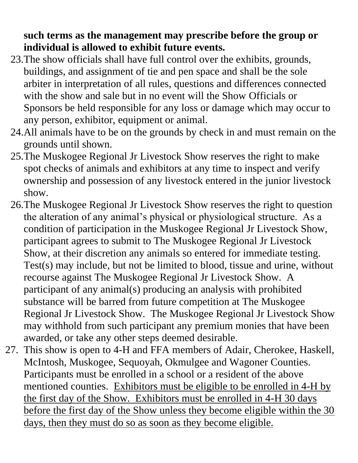**such terms as the management may prescribe before the group or individual is allowed to exhibit future events.** 

- 23.The show officials shall have full control over the exhibits, grounds, buildings, and assignment of tie and pen space and shall be the sole arbiter in interpretation of all rules, questions and differences connected with the show and sale but in no event will the Show Officials or Sponsors be held responsible for any loss or damage which may occur to any person, exhibitor, equipment or animal.
- 24.All animals have to be on the grounds by check in and must remain on the grounds until shown.
- 25.The Muskogee Regional Jr Livestock Show reserves the right to make spot checks of animals and exhibitors at any time to inspect and verify ownership and possession of any livestock entered in the junior livestock show.
- 26.The Muskogee Regional Jr Livestock Show reserves the right to question the alteration of any animal's physical or physiological structure. As a condition of participation in the Muskogee Regional Jr Livestock Show, participant agrees to submit to The Muskogee Regional Jr Livestock Show, at their discretion any animals so entered for immediate testing. Test(s) may include, but not be limited to blood, tissue and urine, without recourse against The Muskogee Regional Jr Livestock Show. A participant of any animal(s) producing an analysis with prohibited substance will be barred from future competition at The Muskogee Regional Jr Livestock Show. The Muskogee Regional Jr Livestock Show may withhold from such participant any premium monies that have been awarded, or take any other steps deemed desirable.
- 27. This show is open to 4-H and FFA members of Adair, Cherokee, Haskell, McIntosh, Muskogee, Sequoyah, Okmulgee and Wagoner Counties. Participants must be enrolled in a school or a resident of the above mentioned counties. Exhibitors must be eligible to be enrolled in 4-H by the first day of the Show. Exhibitors must be enrolled in 4-H 30 days before the first day of the Show unless they become eligible within the 30 days, then they must do so as soon as they become eligible.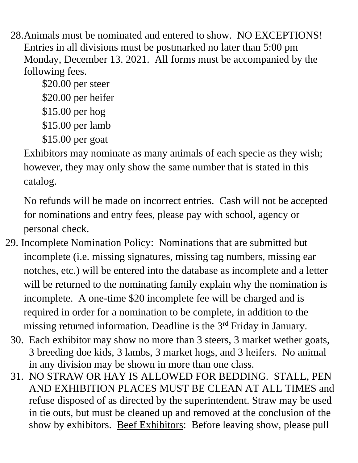28.Animals must be nominated and entered to show. NO EXCEPTIONS! Entries in all divisions must be postmarked no later than 5:00 pm Monday, December 13. 2021. All forms must be accompanied by the following fees.

\$20.00 per steer \$20.00 per heifer \$15.00 per hog

\$15.00 per lamb

\$15.00 per goat

Exhibitors may nominate as many animals of each specie as they wish; however, they may only show the same number that is stated in this catalog.

 No refunds will be made on incorrect entries. Cash will not be accepted for nominations and entry fees, please pay with school, agency or personal check.

- 29. Incomplete Nomination Policy: Nominations that are submitted but incomplete (i.e. missing signatures, missing tag numbers, missing ear notches, etc.) will be entered into the database as incomplete and a letter will be returned to the nominating family explain why the nomination is incomplete. A one-time \$20 incomplete fee will be charged and is required in order for a nomination to be complete, in addition to the missing returned information. Deadline is the 3<sup>rd</sup> Friday in January.
	- 30. Each exhibitor may show no more than 3 steers, 3 market wether goats, 3 breeding doe kids, 3 lambs, 3 market hogs, and 3 heifers. No animal in any division may be shown in more than one class.
	- 31. NO STRAW OR HAY IS ALLOWED FOR BEDDING. STALL, PEN AND EXHIBITION PLACES MUST BE CLEAN AT ALL TIMES and refuse disposed of as directed by the superintendent. Straw may be used in tie outs, but must be cleaned up and removed at the conclusion of the show by exhibitors. <u>Beef Exhibitors</u>: Before leaving show, please pull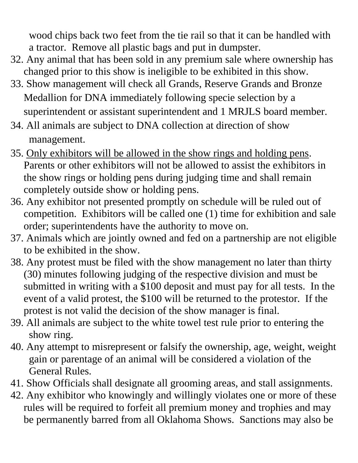wood chips back two feet from the tie rail so that it can be handled with a tractor. Remove all plastic bags and put in dumpster.

- 32. Any animal that has been sold in any premium sale where ownership has changed prior to this show is ineligible to be exhibited in this show.
- 33. Show management will check all Grands, Reserve Grands and Bronze Medallion for DNA immediately following specie selection by a superintendent or assistant superintendent and 1 MRJLS board member.
- 34. All animals are subject to DNA collection at direction of show management.
- 35. Only exhibitors will be allowed in the show rings and holding pens. Parents or other exhibitors will not be allowed to assist the exhibitors in the show rings or holding pens during judging time and shall remain completely outside show or holding pens.
- 36. Any exhibitor not presented promptly on schedule will be ruled out of competition. Exhibitors will be called one (1) time for exhibition and sale order; superintendents have the authority to move on.
- 37. Animals which are jointly owned and fed on a partnership are not eligible to be exhibited in the show.
- 38. Any protest must be filed with the show management no later than thirty (30) minutes following judging of the respective division and must be submitted in writing with a \$100 deposit and must pay for all tests. In the event of a valid protest, the \$100 will be returned to the protestor. If the protest is not valid the decision of the show manager is final.
- 39. All animals are subject to the white towel test rule prior to entering the show ring.
- 40. Any attempt to misrepresent or falsify the ownership, age, weight, weight gain or parentage of an animal will be considered a violation of the General Rules.
- 41. Show Officials shall designate all grooming areas, and stall assignments.
- 42. Any exhibitor who knowingly and willingly violates one or more of these rules will be required to forfeit all premium money and trophies and may be permanently barred from all Oklahoma Shows. Sanctions may also be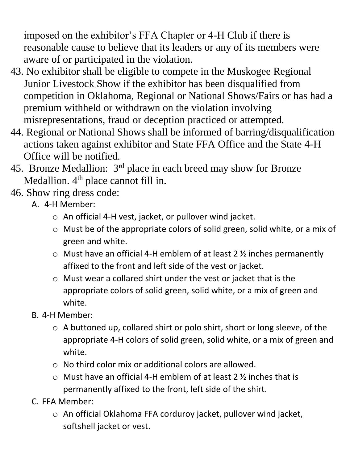imposed on the exhibitor's FFA Chapter or 4-H Club if there is reasonable cause to believe that its leaders or any of its members were aware of or participated in the violation.

- 43. No exhibitor shall be eligible to compete in the Muskogee Regional Junior Livestock Show if the exhibitor has been disqualified from competition in Oklahoma, Regional or National Shows/Fairs or has had a premium withheld or withdrawn on the violation involving misrepresentations, fraud or deception practiced or attempted.
- 44. Regional or National Shows shall be informed of barring/disqualification actions taken against exhibitor and State FFA Office and the State 4-H Office will be notified.
- 45. Bronze Medallion: 3rd place in each breed may show for Bronze Medallion. 4<sup>th</sup> place cannot fill in.
- 46. Show ring dress code:
	- A. 4-H Member:
		- o An official 4-H vest, jacket, or pullover wind jacket.
		- o Must be of the appropriate colors of solid green, solid white, or a mix of green and white.
		- $\circ$  Must have an official 4-H emblem of at least 2  $\frac{1}{2}$  inches permanently affixed to the front and left side of the vest or jacket.
		- o Must wear a collared shirt under the vest or jacket that is the appropriate colors of solid green, solid white, or a mix of green and white.
	- B. 4-H Member:
		- o A buttoned up, collared shirt or polo shirt, short or long sleeve, of the appropriate 4-H colors of solid green, solid white, or a mix of green and white.
		- o No third color mix or additional colors are allowed.
		- $\circ$  Must have an official 4-H emblem of at least 2 % inches that is permanently affixed to the front, left side of the shirt.
	- C. FFA Member:
		- o An official Oklahoma FFA corduroy jacket, pullover wind jacket, softshell jacket or vest.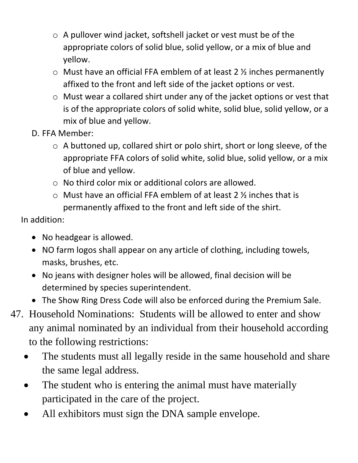- o A pullover wind jacket, softshell jacket or vest must be of the appropriate colors of solid blue, solid yellow, or a mix of blue and yellow.
- $\circ$  Must have an official FFA emblem of at least 2  $\frac{1}{2}$  inches permanently affixed to the front and left side of the jacket options or vest.
- o Must wear a collared shirt under any of the jacket options or vest that is of the appropriate colors of solid white, solid blue, solid yellow, or a mix of blue and yellow.
- D. FFA Member:
	- o A buttoned up, collared shirt or polo shirt, short or long sleeve, of the appropriate FFA colors of solid white, solid blue, solid yellow, or a mix of blue and yellow.
	- o No third color mix or additional colors are allowed.
	- $\circ$  Must have an official FFA emblem of at least 2  $\frac{1}{2}$  inches that is permanently affixed to the front and left side of the shirt.

In addition:

- No headgear is allowed.
- NO farm logos shall appear on any article of clothing, including towels, masks, brushes, etc.
- No jeans with designer holes will be allowed, final decision will be determined by species superintendent.
- The Show Ring Dress Code will also be enforced during the Premium Sale.
- 47. Household Nominations: Students will be allowed to enter and show any animal nominated by an individual from their household according to the following restrictions:
	- The students must all legally reside in the same household and share the same legal address.
	- The student who is entering the animal must have materially participated in the care of the project.
	- All exhibitors must sign the DNA sample envelope.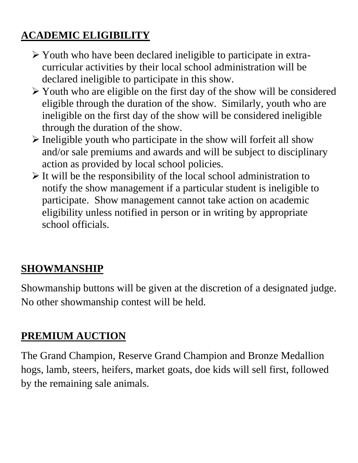# **ACADEMIC ELIGIBILITY**

- ➢ Youth who have been declared ineligible to participate in extracurricular activities by their local school administration will be declared ineligible to participate in this show.
- ➢ Youth who are eligible on the first day of the show will be considered eligible through the duration of the show. Similarly, youth who are ineligible on the first day of the show will be considered ineligible through the duration of the show.
- ➢ Ineligible youth who participate in the show will forfeit all show and/or sale premiums and awards and will be subject to disciplinary action as provided by local school policies.
- $\triangleright$  It will be the responsibility of the local school administration to notify the show management if a particular student is ineligible to participate. Show management cannot take action on academic eligibility unless notified in person or in writing by appropriate school officials.

# **SHOWMANSHIP**

Showmanship buttons will be given at the discretion of a designated judge. No other showmanship contest will be held.

# **PREMIUM AUCTION**

The Grand Champion, Reserve Grand Champion and Bronze Medallion hogs, lamb, steers, heifers, market goats, doe kids will sell first, followed by the remaining sale animals.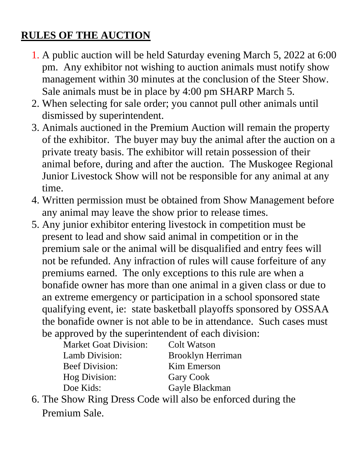# **RULES OF THE AUCTION**

- 1. A public auction will be held Saturday evening March 5, 2022 at 6:00 pm. Any exhibitor not wishing to auction animals must notify show management within 30 minutes at the conclusion of the Steer Show. Sale animals must be in place by 4:00 pm SHARP March 5.
- 2. When selecting for sale order; you cannot pull other animals until dismissed by superintendent.
- 3. Animals auctioned in the Premium Auction will remain the property of the exhibitor. The buyer may buy the animal after the auction on a private treaty basis. The exhibitor will retain possession of their animal before, during and after the auction. The Muskogee Regional Junior Livestock Show will not be responsible for any animal at any time.
- 4. Written permission must be obtained from Show Management before any animal may leave the show prior to release times.
- 5. Any junior exhibitor entering livestock in competition must be present to lead and show said animal in competition or in the premium sale or the animal will be disqualified and entry fees will not be refunded. Any infraction of rules will cause forfeiture of any premiums earned. The only exceptions to this rule are when a bonafide owner has more than one animal in a given class or due to an extreme emergency or participation in a school sponsored state qualifying event, ie: state basketball playoffs sponsored by OSSAA the bonafide owner is not able to be in attendance. Such cases must be approved by the superintendent of each division:

| Colt Watson       |
|-------------------|
| Brooklyn Herriman |
| Kim Emerson       |
| <b>Gary Cook</b>  |
| Gayle Blackman    |
|                   |

6. The Show Ring Dress Code will also be enforced during the Premium Sale.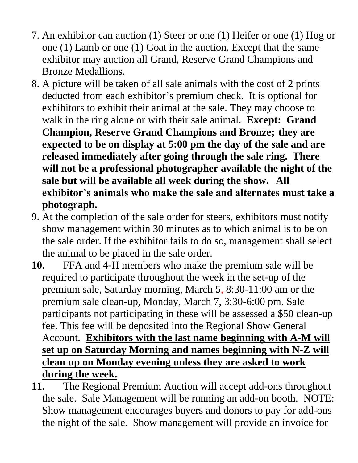- 7. An exhibitor can auction (1) Steer or one (1) Heifer or one (1) Hog or one (1) Lamb or one (1) Goat in the auction. Except that the same exhibitor may auction all Grand, Reserve Grand Champions and Bronze Medallions.
- 8. A picture will be taken of all sale animals with the cost of 2 prints deducted from each exhibitor's premium check. It is optional for exhibitors to exhibit their animal at the sale. They may choose to walk in the ring alone or with their sale animal. **Except: Grand Champion, Reserve Grand Champions and Bronze; they are expected to be on display at 5:00 pm the day of the sale and are released immediately after going through the sale ring. There will not be a professional photographer available the night of the sale but will be available all week during the show. All exhibitor's animals who make the sale and alternates must take a photograph.**
- 9. At the completion of the sale order for steers, exhibitors must notify show management within 30 minutes as to which animal is to be on the sale order. If the exhibitor fails to do so, management shall select the animal to be placed in the sale order.
- **10.** FFA and 4-H members who make the premium sale will be required to participate throughout the week in the set-up of the premium sale, Saturday morning, March 5, 8:30-11:00 am or the premium sale clean-up, Monday, March 7, 3:30-6:00 pm. Sale participants not participating in these will be assessed a \$50 clean-up fee. This fee will be deposited into the Regional Show General Account. **Exhibitors with the last name beginning with A-M will set up on Saturday Morning and names beginning with N-Z will clean up on Monday evening unless they are asked to work during the week.**
- **11.** The Regional Premium Auction will accept add-ons throughout the sale. Sale Management will be running an add-on booth. NOTE: Show management encourages buyers and donors to pay for add-ons the night of the sale. Show management will provide an invoice for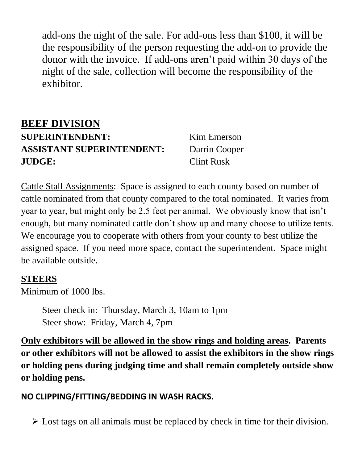add-ons the night of the sale. For add-ons less than \$100, it will be the responsibility of the person requesting the add-on to provide the donor with the invoice. If add-ons aren't paid within 30 days of the night of the sale, collection will become the responsibility of the exhibitor.

## **BEEF DIVISION SUPERINTENDENT:** Kim Emerson **ASSISTANT SUPERINTENDENT:** Darrin Cooper **JUDGE:** Clint Rusk

Cattle Stall Assignments: Space is assigned to each county based on number of cattle nominated from that county compared to the total nominated. It varies from year to year, but might only be 2.5 feet per animal. We obviously know that isn't enough, but many nominated cattle don't show up and many choose to utilize tents. We encourage you to cooperate with others from your county to best utilize the assigned space. If you need more space, contact the superintendent. Space might be available outside.

#### **STEERS**

Minimum of 1000 lbs.

Steer check in: Thursday, March 3, 10am to 1pm Steer show: Friday, March 4, 7pm

**Only exhibitors will be allowed in the show rings and holding areas. Parents or other exhibitors will not be allowed to assist the exhibitors in the show rings or holding pens during judging time and shall remain completely outside show or holding pens.**

#### **NO CLIPPING/FITTING/BEDDING IN WASH RACKS.**

 $\triangleright$  Lost tags on all animals must be replaced by check in time for their division.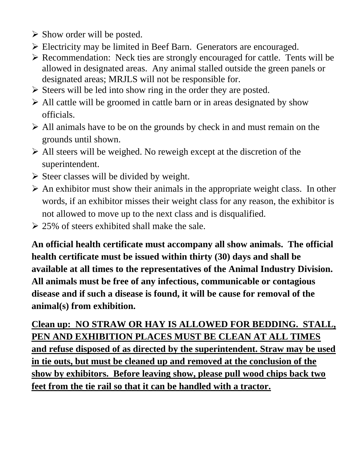- ➢ Show order will be posted.
- ➢ Electricity may be limited in Beef Barn. Generators are encouraged.
- ➢ Recommendation: Neck ties are strongly encouraged for cattle. Tents will be allowed in designated areas. Any animal stalled outside the green panels or designated areas; MRJLS will not be responsible for.
- ➢ Steers will be led into show ring in the order they are posted.
- ➢ All cattle will be groomed in cattle barn or in areas designated by show officials.
- ➢ All animals have to be on the grounds by check in and must remain on the grounds until shown.
- ➢ All steers will be weighed. No reweigh except at the discretion of the superintendent.
- $\triangleright$  Steer classes will be divided by weight.
- $\triangleright$  An exhibitor must show their animals in the appropriate weight class. In other words, if an exhibitor misses their weight class for any reason, the exhibitor is not allowed to move up to the next class and is disqualified.
- $\geq$  25% of steers exhibited shall make the sale.

**An official health certificate must accompany all show animals. The official health certificate must be issued within thirty (30) days and shall be available at all times to the representatives of the Animal Industry Division. All animals must be free of any infectious, communicable or contagious disease and if such a disease is found, it will be cause for removal of the animal(s) from exhibition.**

**Clean up: NO STRAW OR HAY IS ALLOWED FOR BEDDING. STALL, PEN AND EXHIBITION PLACES MUST BE CLEAN AT ALL TIMES and refuse disposed of as directed by the superintendent. Straw may be used in tie outs, but must be cleaned up and removed at the conclusion of the show by exhibitors. Before leaving show, please pull wood chips back two feet from the tie rail so that it can be handled with a tractor.**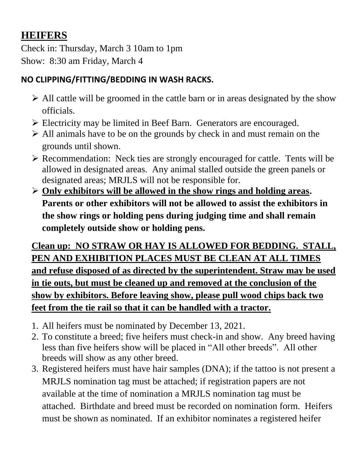# **HEIFERS**

Check in: Thursday, March 3 10am to 1pm Show: 8:30 am Friday, March 4

#### **NO CLIPPING/FITTING/BEDDING IN WASH RACKS.**

- ➢ All cattle will be groomed in the cattle barn or in areas designated by the show officials.
- ➢ Electricity may be limited in Beef Barn. Generators are encouraged.
- ➢ All animals have to be on the grounds by check in and must remain on the grounds until shown.
- ➢ Recommendation: Neck ties are strongly encouraged for cattle. Tents will be allowed in designated areas. Any animal stalled outside the green panels or designated areas; MRJLS will not be responsible for.
- ➢ **Only exhibitors will be allowed in the show rings and holding areas. Parents or other exhibitors will not be allowed to assist the exhibitors in the show rings or holding pens during judging time and shall remain completely outside show or holding pens.**

**Clean up: NO STRAW OR HAY IS ALLOWED FOR BEDDING. STALL, PEN AND EXHIBITION PLACES MUST BE CLEAN AT ALL TIMES and refuse disposed of as directed by the superintendent. Straw may be used in tie outs, but must be cleaned up and removed at the conclusion of the show by exhibitors. Before leaving show, please pull wood chips back two feet from the tie rail so that it can be handled with a tractor.** 

- 1. All heifers must be nominated by December 13, 2021.
- 2. To constitute a breed; five heifers must check-in and show. Any breed having less than five heifers show will be placed in "All other breeds". All other breeds will show as any other breed.
- 3. Registered heifers must have hair samples (DNA); if the tattoo is not present a MRJLS nomination tag must be attached; if registration papers are not available at the time of nomination a MRJLS nomination tag must be attached. Birthdate and breed must be recorded on nomination form. Heifers must be shown as nominated. If an exhibitor nominates a registered heifer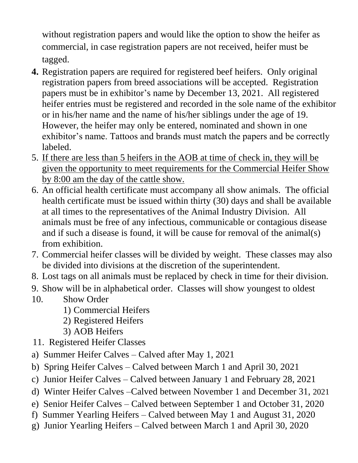without registration papers and would like the option to show the heifer as commercial, in case registration papers are not received, heifer must be tagged.

- **4.** Registration papers are required for registered beef heifers. Only original registration papers from breed associations will be accepted. Registration papers must be in exhibitor's name by December 13, 2021. All registered heifer entries must be registered and recorded in the sole name of the exhibitor or in his/her name and the name of his/her siblings under the age of 19. However, the heifer may only be entered, nominated and shown in one exhibitor's name. Tattoos and brands must match the papers and be correctly labeled.
- 5. If there are less than 5 heifers in the AOB at time of check in, they will be given the opportunity to meet requirements for the Commercial Heifer Show by 8:00 am the day of the cattle show.
- 6. An official health certificate must accompany all show animals. The official health certificate must be issued within thirty (30) days and shall be available at all times to the representatives of the Animal Industry Division. All animals must be free of any infectious, communicable or contagious disease and if such a disease is found, it will be cause for removal of the animal(s) from exhibition.
- 7. Commercial heifer classes will be divided by weight. These classes may also be divided into divisions at the discretion of the superintendent.
- 8. Lost tags on all animals must be replaced by check in time for their division.
- 9. Show will be in alphabetical order. Classes will show youngest to oldest
- 10. Show Order
	- 1) Commercial Heifers
	- 2) Registered Heifers
	- 3) AOB Heifers
- 11. Registered Heifer Classes
- a) Summer Heifer Calves Calved after May 1, 2021
- b) Spring Heifer Calves Calved between March 1 and April 30, 2021
- c) Junior Heifer Calves Calved between January 1 and February 28, 2021
- d) Winter Heifer Calves –Calved between November 1 and December 31, 2021
- e) Senior Heifer Calves Calved between September 1 and October 31, 2020
- f) Summer Yearling Heifers Calved between May 1 and August 31, 2020
- g) Junior Yearling Heifers Calved between March 1 and April 30, 2020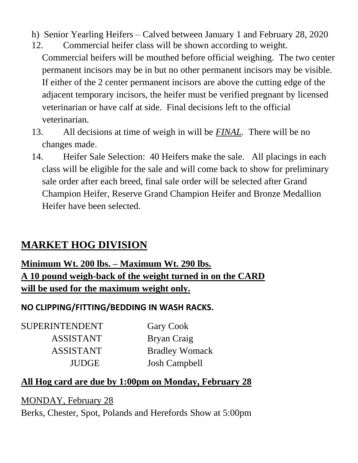- h) Senior Yearling Heifers Calved between January 1 and February 28, 2020
- 12. Commercial heifer class will be shown according to weight. Commercial heifers will be mouthed before official weighing. The two center permanent incisors may be in but no other permanent incisors may be visible. If either of the 2 center permanent incisors are above the cutting edge of the adjacent temporary incisors, the heifer must be verified pregnant by licensed veterinarian or have calf at side. Final decisions left to the official veterinarian.
- 13. All decisions at time of weigh in will be *FINAL*. There will be no changes made.
- 14. Heifer Sale Selection: 40 Heifers make the sale. All placings in each class will be eligible for the sale and will come back to show for preliminary sale order after each breed, final sale order will be selected after Grand Champion Heifer, Reserve Grand Champion Heifer and Bronze Medallion Heifer have been selected.

## **MARKET HOG DIVISION**

#### **Minimum Wt. 200 lbs. – Maximum Wt. 290 lbs. A 10 pound weigh-back of the weight turned in on the CARD will be used for the maximum weight only.**

#### **NO CLIPPING/FITTING/BEDDING IN WASH RACKS.**

SUPERINTENDENT Gary Cook ASSISTANT Bryan Craig

 ASSISTANT Bradley Womack JUDGE Josh Campbell

#### **All Hog card are due by 1:00pm on Monday, February 28**

MONDAY, February 28 Berks, Chester, Spot, Polands and Herefords Show at 5:00pm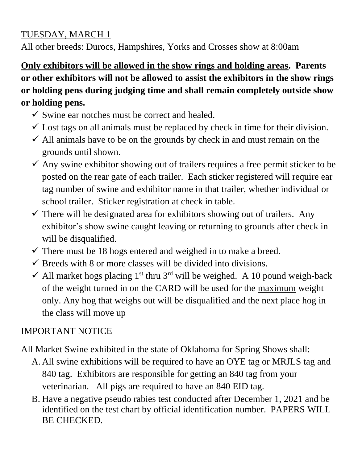#### TUESDAY, MARCH 1

All other breeds: Durocs, Hampshires, Yorks and Crosses show at 8:00am

**Only exhibitors will be allowed in the show rings and holding areas. Parents or other exhibitors will not be allowed to assist the exhibitors in the show rings or holding pens during judging time and shall remain completely outside show or holding pens.**

- $\checkmark$  Swine ear notches must be correct and healed.
- $\checkmark$  Lost tags on all animals must be replaced by check in time for their division.
- $\checkmark$  All animals have to be on the grounds by check in and must remain on the grounds until shown.
- $\checkmark$  Any swine exhibitor showing out of trailers requires a free permit sticker to be posted on the rear gate of each trailer. Each sticker registered will require ear tag number of swine and exhibitor name in that trailer, whether individual or school trailer. Sticker registration at check in table.
- $\checkmark$  There will be designated area for exhibitors showing out of trailers. Any exhibitor's show swine caught leaving or returning to grounds after check in will be disqualified.
- $\checkmark$  There must be 18 hogs entered and weighed in to make a breed.
- $\checkmark$  Breeds with 8 or more classes will be divided into divisions.
- $\checkmark$  All market hogs placing 1<sup>st</sup> thru 3<sup>rd</sup> will be weighed. A 10 pound weigh-back of the weight turned in on the CARD will be used for the maximum weight only. Any hog that weighs out will be disqualified and the next place hog in the class will move up

#### IMPORTANT NOTICE

All Market Swine exhibited in the state of Oklahoma for Spring Shows shall:

- A. All swine exhibitions will be required to have an OYE tag or MRJLS tag and 840 tag. Exhibitors are responsible for getting an 840 tag from your veterinarian. All pigs are required to have an 840 EID tag.
- B. Have a negative pseudo rabies test conducted after December 1, 2021 and be identified on the test chart by official identification number. PAPERS WILL BE CHECKED.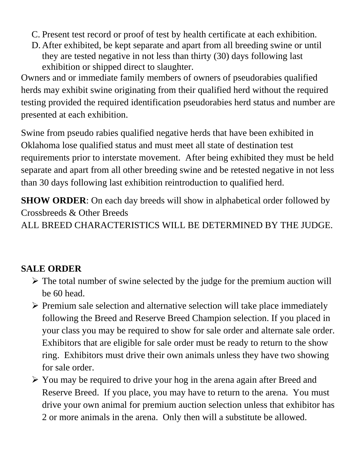- C. Present test record or proof of test by health certificate at each exhibition.
- D. After exhibited, be kept separate and apart from all breeding swine or until they are tested negative in not less than thirty (30) days following last exhibition or shipped direct to slaughter.

Owners and or immediate family members of owners of pseudorabies qualified herds may exhibit swine originating from their qualified herd without the required testing provided the required identification pseudorabies herd status and number are presented at each exhibition.

Swine from pseudo rabies qualified negative herds that have been exhibited in Oklahoma lose qualified status and must meet all state of destination test requirements prior to interstate movement. After being exhibited they must be held separate and apart from all other breeding swine and be retested negative in not less than 30 days following last exhibition reintroduction to qualified herd.

**SHOW ORDER:** On each day breeds will show in alphabetical order followed by Crossbreeds & Other Breeds

ALL BREED CHARACTERISTICS WILL BE DETERMINED BY THE JUDGE.

#### **SALE ORDER**

- ➢ The total number of swine selected by the judge for the premium auction will be 60 head.
- ➢ Premium sale selection and alternative selection will take place immediately following the Breed and Reserve Breed Champion selection. If you placed in your class you may be required to show for sale order and alternate sale order. Exhibitors that are eligible for sale order must be ready to return to the show ring. Exhibitors must drive their own animals unless they have two showing for sale order.
- ➢ You may be required to drive your hog in the arena again after Breed and Reserve Breed. If you place, you may have to return to the arena. You must drive your own animal for premium auction selection unless that exhibitor has 2 or more animals in the arena. Only then will a substitute be allowed.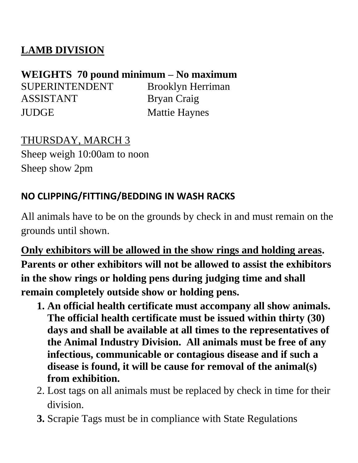# **LAMB DIVISION**

# **WEIGHTS 70 pound minimum – No maximum**

SUPERINTENDENT Brooklyn Herriman ASSISTANT Bryan Craig JUDGE Mattie Haynes

# THURSDAY, MARCH 3

Sheep weigh 10:00am to noon Sheep show 2pm

# **NO CLIPPING/FITTING/BEDDING IN WASH RACKS**

All animals have to be on the grounds by check in and must remain on the grounds until shown.

**Only exhibitors will be allowed in the show rings and holding areas. Parents or other exhibitors will not be allowed to assist the exhibitors in the show rings or holding pens during judging time and shall remain completely outside show or holding pens.**

- **1. An official health certificate must accompany all show animals. The official health certificate must be issued within thirty (30) days and shall be available at all times to the representatives of the Animal Industry Division. All animals must be free of any infectious, communicable or contagious disease and if such a disease is found, it will be cause for removal of the animal(s) from exhibition.**
- 2. Lost tags on all animals must be replaced by check in time for their division.
- **3.** Scrapie Tags must be in compliance with State Regulations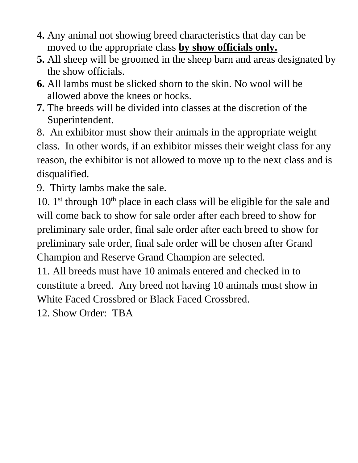- **4.** Any animal not showing breed characteristics that day can be moved to the appropriate class **by show officials only.**
- **5.** All sheep will be groomed in the sheep barn and areas designated by the show officials.
- **6.** All lambs must be slicked shorn to the skin. No wool will be allowed above the knees or hocks.
- **7.** The breeds will be divided into classes at the discretion of the Superintendent.

8. An exhibitor must show their animals in the appropriate weight class. In other words, if an exhibitor misses their weight class for any reason, the exhibitor is not allowed to move up to the next class and is disqualified.

9. Thirty lambs make the sale.

10.  $1<sup>st</sup>$  through  $10<sup>th</sup>$  place in each class will be eligible for the sale and will come back to show for sale order after each breed to show for preliminary sale order, final sale order after each breed to show for preliminary sale order, final sale order will be chosen after Grand Champion and Reserve Grand Champion are selected.

11. All breeds must have 10 animals entered and checked in to constitute a breed. Any breed not having 10 animals must show in White Faced Crossbred or Black Faced Crossbred.

12. Show Order: TBA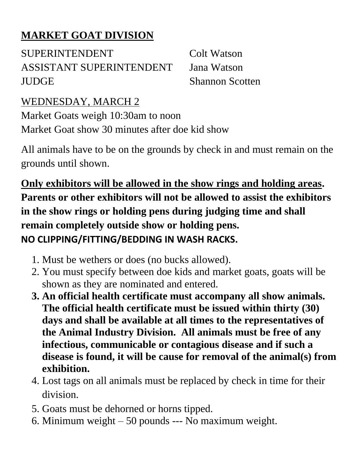# **MARKET GOAT DIVISION**

SUPERINTENDENT Colt Watson ASSISTANT SUPERINTENDENT Jana Watson JUDGE Shannon Scotten

# WEDNESDAY, MARCH 2

Market Goats weigh 10:30am to noon Market Goat show 30 minutes after doe kid show

All animals have to be on the grounds by check in and must remain on the grounds until shown.

**Only exhibitors will be allowed in the show rings and holding areas. Parents or other exhibitors will not be allowed to assist the exhibitors in the show rings or holding pens during judging time and shall remain completely outside show or holding pens. NO CLIPPING/FITTING/BEDDING IN WASH RACKS.**

- 1. Must be wethers or does (no bucks allowed).
- 2. You must specify between doe kids and market goats, goats will be shown as they are nominated and entered.
- **3. An official health certificate must accompany all show animals. The official health certificate must be issued within thirty (30) days and shall be available at all times to the representatives of the Animal Industry Division. All animals must be free of any infectious, communicable or contagious disease and if such a disease is found, it will be cause for removal of the animal(s) from exhibition.**
- 4. Lost tags on all animals must be replaced by check in time for their division.
- 5. Goats must be dehorned or horns tipped.
- 6. Minimum weight 50 pounds --- No maximum weight.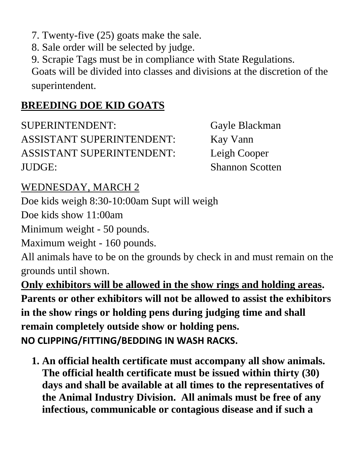7. Twenty-five (25) goats make the sale.

8. Sale order will be selected by judge.

9. Scrapie Tags must be in compliance with State Regulations.

Goats will be divided into classes and divisions at the discretion of the superintendent.

### **BREEDING DOE KID GOATS**

SUPERINTENDENT: Gayle Blackman ASSISTANT SUPERINTENDENT: Kay Vann ASSISTANT SUPERINTENDENT: Leigh Cooper JUDGE: Shannon Scotten

### WEDNESDAY, MARCH 2

Doe kids weigh 8:30-10:00am Supt will weigh

Doe kids show 11:00am

Minimum weight - 50 pounds.

Maximum weight - 160 pounds.

All animals have to be on the grounds by check in and must remain on the grounds until shown.

**Only exhibitors will be allowed in the show rings and holding areas. Parents or other exhibitors will not be allowed to assist the exhibitors in the show rings or holding pens during judging time and shall remain completely outside show or holding pens. NO CLIPPING/FITTING/BEDDING IN WASH RACKS.**

**1. An official health certificate must accompany all show animals. The official health certificate must be issued within thirty (30) days and shall be available at all times to the representatives of the Animal Industry Division. All animals must be free of any infectious, communicable or contagious disease and if such a**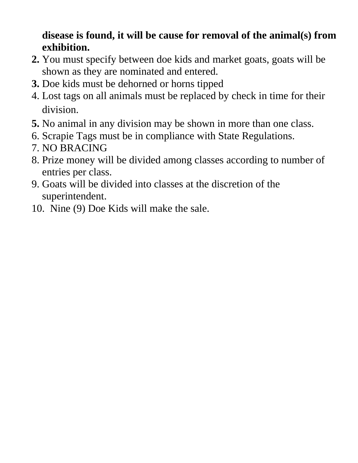# **disease is found, it will be cause for removal of the animal(s) from exhibition.**

- **2.** You must specify between doe kids and market goats, goats will be shown as they are nominated and entered.
- **3.** Doe kids must be dehorned or horns tipped
- 4. Lost tags on all animals must be replaced by check in time for their division.
- **5.** No animal in any division may be shown in more than one class.
- 6. Scrapie Tags must be in compliance with State Regulations.
- 7. NO BRACING
- 8. Prize money will be divided among classes according to number of entries per class.
- 9. Goats will be divided into classes at the discretion of the superintendent.
- 10. Nine (9) Doe Kids will make the sale.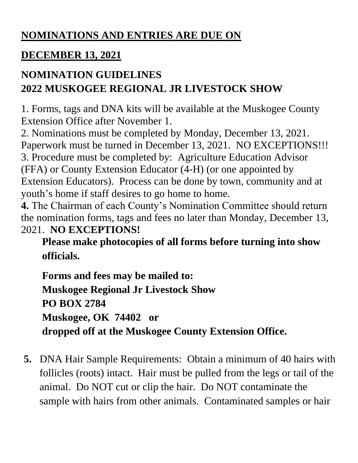# **NOMINATIONS AND ENTRIES ARE DUE ON**

# **DECEMBER 13, 2021**

# **NOMINATION GUIDELINES 2022 MUSKOGEE REGIONAL JR LIVESTOCK SHOW**

1. Forms, tags and DNA kits will be available at the Muskogee County Extension Office after November 1.

2. Nominations must be completed by Monday, December 13, 2021. Paperwork must be turned in December 13, 2021. NO EXCEPTIONS!!! 3. Procedure must be completed by: Agriculture Education Advisor (FFA) or County Extension Educator (4-H) (or one appointed by Extension Educators). Process can be done by town, community and at youth's home if staff desires to go home to home.

**4.** The Chairman of each County's Nomination Committee should return the nomination forms, tags and fees no later than Monday, December 13, 2021. **NO EXCEPTIONS!**

**Please make photocopies of all forms before turning into show officials.**

**Forms and fees may be mailed to: Muskogee Regional Jr Livestock Show PO BOX 2784 Muskogee, OK 74402 or dropped off at the Muskogee County Extension Office.**

**5.** DNA Hair Sample Requirements: Obtain a minimum of 40 hairs with follicles (roots) intact. Hair must be pulled from the legs or tail of the animal. Do NOT cut or clip the hair. Do NOT contaminate the sample with hairs from other animals. Contaminated samples or hair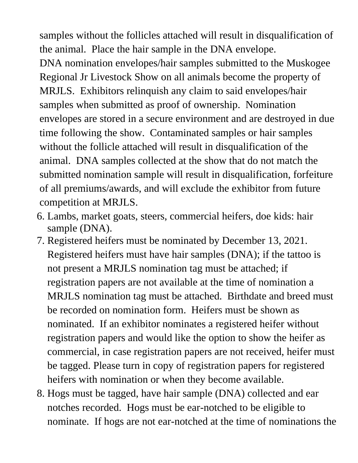samples without the follicles attached will result in disqualification of the animal. Place the hair sample in the DNA envelope.

DNA nomination envelopes/hair samples submitted to the Muskogee Regional Jr Livestock Show on all animals become the property of MRJLS. Exhibitors relinquish any claim to said envelopes/hair samples when submitted as proof of ownership. Nomination envelopes are stored in a secure environment and are destroyed in due time following the show. Contaminated samples or hair samples without the follicle attached will result in disqualification of the animal. DNA samples collected at the show that do not match the submitted nomination sample will result in disqualification, forfeiture of all premiums/awards, and will exclude the exhibitor from future competition at MRJLS.

- 6. Lambs, market goats, steers, commercial heifers, doe kids: hair sample (DNA).
- 7. Registered heifers must be nominated by December 13, 2021. Registered heifers must have hair samples (DNA); if the tattoo is not present a MRJLS nomination tag must be attached; if registration papers are not available at the time of nomination a MRJLS nomination tag must be attached. Birthdate and breed must be recorded on nomination form. Heifers must be shown as nominated. If an exhibitor nominates a registered heifer without registration papers and would like the option to show the heifer as commercial, in case registration papers are not received, heifer must be tagged. Please turn in copy of registration papers for registered heifers with nomination or when they become available.
- 8. Hogs must be tagged, have hair sample (DNA) collected and ear notches recorded. Hogs must be ear-notched to be eligible to nominate. If hogs are not ear-notched at the time of nominations the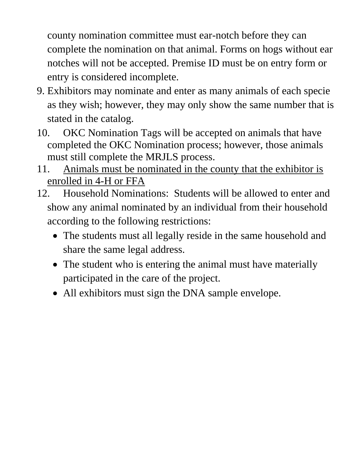county nomination committee must ear-notch before they can complete the nomination on that animal. Forms on hogs without ear notches will not be accepted. Premise ID must be on entry form or entry is considered incomplete.

- 9. Exhibitors may nominate and enter as many animals of each specie as they wish; however, they may only show the same number that is stated in the catalog.
- 10. OKC Nomination Tags will be accepted on animals that have completed the OKC Nomination process; however, those animals must still complete the MRJLS process.
- 11. Animals must be nominated in the county that the exhibitor is enrolled in 4-H or FFA
- 12. Household Nominations: Students will be allowed to enter and show any animal nominated by an individual from their household according to the following restrictions:
	- The students must all legally reside in the same household and share the same legal address.
	- The student who is entering the animal must have materially participated in the care of the project.
	- All exhibitors must sign the DNA sample envelope.